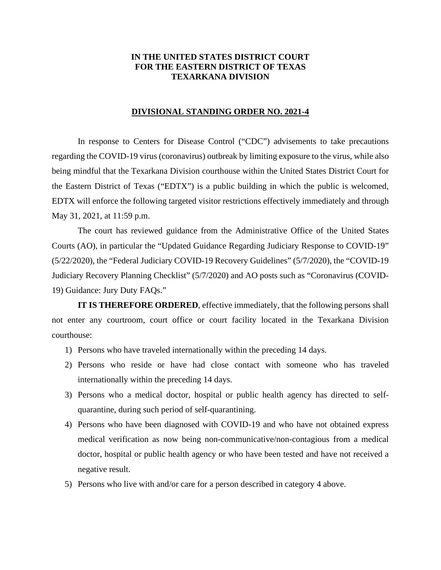## **IN THE UNITED STATES DISTRICT COURT FOR THE EASTERN DISTRICT OF TEXAS TEXARKANA DIVISION**

## **DIVISIONAL STANDING ORDER NO. 2021-4**

In response to Centers for Disease Control ("CDC") advisements to take precautions regarding the COVID-19 virus (coronavirus) outbreak by limiting exposure to the virus, while also being mindful that the Texarkana Division courthouse within the United States District Court for the Eastern District of Texas ("EDTX") is a public building in which the public is welcomed, EDTX will enforce the following targeted visitor restrictions effectively immediately and through May 31, 2021, at 11:59 p.m.

The court has reviewed guidance from the Administrative Office of the United States Courts (AO), in particular the "Updated Guidance Regarding Judiciary Response to COVID-19" (5/22/2020), the "Federal Judiciary COVID-19 Recovery Guidelines" (5/7/2020), the "COVID-19 Judiciary Recovery Planning Checklist" (5/7/2020) and AO posts such as "Coronavirus (COVID-19) Guidance: Jury Duty FAQs."

**IT IS THEREFORE ORDERED**, effective immediately, that the following persons shall not enter any courtroom, court office or court facility located in the Texarkana Division courthouse:

- 1) Persons who have traveled internationally within the preceding 14 days.
- 2) Persons who reside or have had close contact with someone who has traveled internationally within the preceding 14 days.
- 3) Persons who a medical doctor, hospital or public health agency has directed to selfquarantine, during such period of self-quarantining.
- 4) Persons who have been diagnosed with COVID-19 and who have not obtained express medical verification as now being non-communicative/non-contagious from a medical doctor, hospital or public health agency or who have been tested and have not received a negative result.
- 5) Persons who live with and/or care for a person described in category 4 above.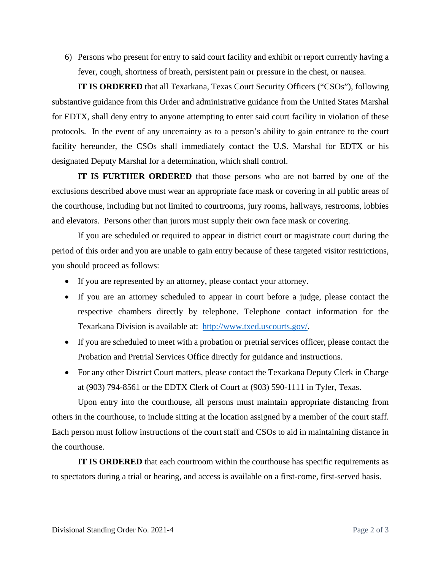6) Persons who present for entry to said court facility and exhibit or report currently having a fever, cough, shortness of breath, persistent pain or pressure in the chest, or nausea.

**IT IS ORDERED** that all Texarkana, Texas Court Security Officers ("CSOs"), following substantive guidance from this Order and administrative guidance from the United States Marshal for EDTX, shall deny entry to anyone attempting to enter said court facility in violation of these protocols. In the event of any uncertainty as to a person's ability to gain entrance to the court facility hereunder, the CSOs shall immediately contact the U.S. Marshal for EDTX or his designated Deputy Marshal for a determination, which shall control.

**IT IS FURTHER ORDERED** that those persons who are not barred by one of the exclusions described above must wear an appropriate face mask or covering in all public areas of the courthouse, including but not limited to courtrooms, jury rooms, hallways, restrooms, lobbies and elevators. Persons other than jurors must supply their own face mask or covering.

If you are scheduled or required to appear in district court or magistrate court during the period of this order and you are unable to gain entry because of these targeted visitor restrictions, you should proceed as follows:

- If you are represented by an attorney, please contact your attorney.
- If you are an attorney scheduled to appear in court before a judge, please contact the respective chambers directly by telephone. Telephone contact information for the Texarkana Division is available at: http://www.txed.uscourts.gov/.
- If you are scheduled to meet with a probation or pretrial services officer, please contact the Probation and Pretrial Services Office directly for guidance and instructions.
- For any other District Court matters, please contact the Texarkana Deputy Clerk in Charge at (903) 794-8561 or the EDTX Clerk of Court at (903) 590-1111 in Tyler, Texas.

Upon entry into the courthouse, all persons must maintain appropriate distancing from others in the courthouse, to include sitting at the location assigned by a member of the court staff. Each person must follow instructions of the court staff and CSOs to aid in maintaining distance in the courthouse.

**IT IS ORDERED** that each courtroom within the courthouse has specific requirements as to spectators during a trial or hearing, and access is available on a first-come, first-served basis.